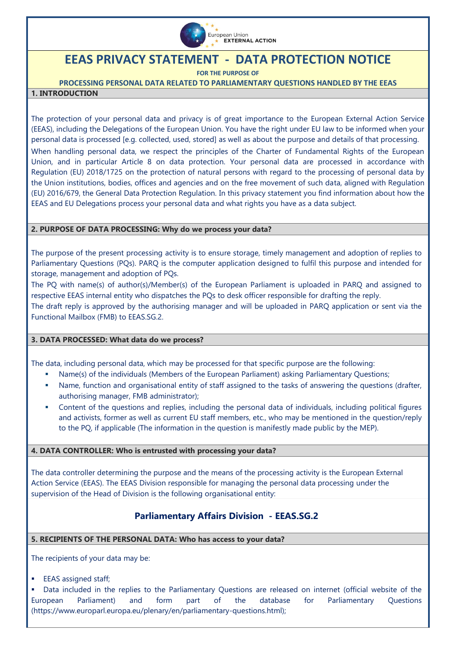

# **EEAS PRIVACY STATEMENT - DATA PROTECTION NOTICE**

**FOR THE PURPOSE OF**

**PROCESSING PERSONAL DATA RELATED TO PARLIAMENTARY QUESTIONS HANDLED BY THE EEAS**

### **1. INTRODUCTION**

The protection of your personal data and privacy is of great importance to the European External Action Service (EEAS), including the Delegations of the European Union. You have the right under EU law to be informed when your personal data is processed [e.g. collected, used, stored] as well as about the purpose and details of that processing. When handling personal data, we respect the principles of the Charter of Fundamental Rights of the European Union, and in particular Article 8 on data protection. Your personal data are processed in accordance with [Regulation \(EU\) 2018/1725 on the protection of natural persons with regard to the processing of personal data by](https://eur-lex.europa.eu/legal-content/EN/TXT/?uri=CELEX%3A32018R1725)  [the Union institutions, bodies, offices and agencies and on the free movement of such data,](https://eur-lex.europa.eu/legal-content/EN/TXT/?uri=CELEX%3A32018R1725) aligned with Regulation (EU) 2016/679, the General Data Protection Regulation. In this privacy statement you find information about how the EEAS and EU Delegations process your personal data and what rights you have as a data subject.

#### **2. PURPOSE OF DATA PROCESSING: Why do we process your data?**

The purpose of the present processing activity is to ensure storage, timely management and adoption of replies to Parliamentary Questions (PQs). PARQ is the computer application designed to fulfil this purpose and intended for storage, management and adoption of PQs.

The PQ with name(s) of author(s)/Member(s) of the European Parliament is uploaded in PARQ and assigned to respective EEAS internal entity who dispatches the PQs to desk officer responsible for drafting the reply.

The draft reply is approved by the authorising manager and will be uploaded in PARQ application or sent via the Functional Mailbox (FMB) to EEAS.SG.2.

# **3. DATA PROCESSED: What data do we process?**

The data, including personal data, which may be processed for that specific purpose are the following:

- Name(s) of the individuals (Members of the European Parliament) asking Parliamentary Questions;
- Name, function and organisational entity of staff assigned to the tasks of answering the questions (drafter, authorising manager, FMB administrator);
- Content of the questions and replies, including the personal data of individuals, including political figures and activists, former as well as current EU staff members, etc., who may be mentioned in the question/reply to the PQ, if applicable (The information in the question is manifestly made public by the MEP).

#### **4. DATA CONTROLLER: Who is entrusted with processing your data?**

The data controller determining the purpose and the means of the processing activity is the European External Action Service (EEAS). The EEAS Division responsible for managing the personal data processing under the supervision of the Head of Division is the following organisational entity:

# **Parliamentary Affairs Division - EEAS.SG.2**

# **5. RECIPIENTS OF THE PERSONAL DATA: Who has access to your data?**

The recipients of your data may be:

EEAS assigned staff;

 Data included in the replies to the Parliamentary Questions are released on internet (official website of the European Parliament) and form part of the database for Parliamentary Questions (https://www.europarl.europa.eu/plenary/en/parliamentary-questions.html);